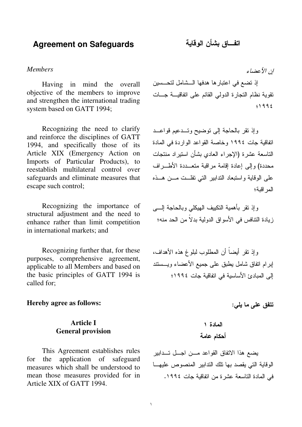## **Agreement on Safeguards**

### *Members*

Having in mind the overall objective of the members to improve and strengthen the international trading system based on GATT 1994;

Recognizing the need to clarify and reinforce the disciplines of GATT 1994, and specifically those of its Article XIX (Emergency Action on Imports of Particular Products), to reestablish multilateral control over safeguards and eliminate measures that escape such control;

Recognizing the importance of structural adjustment and the need to enhance rather than limit competition in international markets; and

Recognizing further that, for these purposes, comprehensive agreement, applicable to all Members and based on the basic principles of GATT 1994 is called for;

### **Hereby agree as follows:**

## **Article I General provision**

This Agreement establishes rules for the application of safeguard measures which shall be understood to mean those measures provided for in Article XIX of GATT 1994.

ان الأعضاء

إذ نضع في اعتبار ها هدفها الـــشامل لتحـــسين نقوية نظام النجارة الدولمي القائم علىي انفاقيسة جسات  $. 1992$ 

وإذ نقر بالحاجة إلى نوضيح وتـــدعيم قواعـــد اتفاقية جات ١٩٩٤ وخاصة القواعد الواردة في المادة الناسعة عشرة (الإجراء العادي بشأن استيراد منتجات محددة) و إلى إعادة إقامة مر اقبة متعــددة الأطـــر اف على الوقاية واستبعاد الندابير التي نفلـــت مــــن هـــذه المد اقية؛

وإذ نقر بأهمية النكييف الـهيكلـي وبالـحاجة الـــــي زيادة التنافس في الأسواق الدولية بدلا من الحد منه؛

وإذ نقر أيضا أن المطلوب لبلوغ هذه الأهداف، إبرام انفاق شامل يطبق على جميع الأعضاء ويـــستند إلى المبادئ الأساسية في اتفاقية جات ١٩٩٤؛

 $\mathbf{r}$ یلی:  $\mathbf{r}$ تتفق على ما يلي:

 

يضع هذا الاتفاق القواعد مـــن اجـــل تـــدابير الوقاية التي يقصد بها نلك الندابير المنصوص عليهـــا في المادة التاسعة عشرة من اتفاقية جات ١٩٩٤.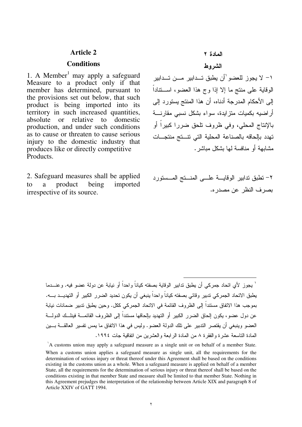### **Article 2**

### **Conditions**

1. A Member<sup>1</sup> may apply a safeguard Measure to a product only if that member has determined, pursuant to the provisions set out below, that such product is being imported into its territory in such increased quantities, absolute or relative to domestic production, and under such conditions as to cause or threaten to cause serious injury to the domestic industry that produces like or directly competitive Products.

2. Safeguard measures shall be applied to a product being imported irrespective of its source.

المادة ٢

### الشر وط

1– لا يجوز للعضو ٰأن يطبق تــدابير مـــن تــدابير الوقاية على منتج ما إلا إذا وج هذا العضو، اســـتنادا إلى الأحكام المدرجة أدناه، أن هذا المنتج يستورد إلى أراضيه بكميات منزايدة، سواء بشكل نسبى مقارنــــة بالإنتاج المحلي، وفي ظروف تلحق ضررا كبيرا أو تهدد بإلحاقه بالصناعة المحلية التي تتستج منتجسات مشابهة أو منافسة لها بشكل مباشر .

٢– تطبق تدابير الوقايــــة علــــى المنــــنج المــــستورد بصر ف النظر عن مصدر ه.

` يجوز لأي اتحاد جمركي أن يطبق ندابير الوقاية بصفته كياناً واحداً أو نيابة عن دولة عضو فيه. وعنـــدما يطبق الاتحاد الجمركي تدبير وقائي بصفته كيانا واحدا ينبغي أن يكون تحديد الضرر الكبير أو التهديـــد بــــه. بموجب هذا الاتفاق مستندا إلى الظروف القائمة في الاتحاد الجمركي ككل. وحين يطبق تدبير ضمانات نيابة عن دول عضو، يكون إلحاق الضرر الكبير أو التهديد بإلحاقها مستندا إلى الظروف القائمـــة فينلـــك الدولــــة العضو وينبغي أن يقتصر التدبير على تلك الدولة العضو . وليس في هذا الاتفاق ما يمس تفسير العالقـــة بــــين المادة الناسعة عشرة والفقرة ٨ من المادة الرابعة والعشرين من انفاقية جات ١٩٩٤.

j

- A customs union may apply a safeguard measure as a single unit or on behalf of a member State. When a customs union applies a safeguard measure as single unit, all the requirements for the determination of serious injury or threat thereof under this Agreement shall be based on the conditions existing in the customs union as a whole. When a safeguard measure is applied on behalf of a member State, all the requirements for the determination of serious injury or threat thereof shall be based on the conditions existing in that member State and measure shall be limited to that member State. Nothing in this Agreement prejudges the interpretation of the relationship between Article XIX and paragraph 8 of Article XXIV of GATT 1994.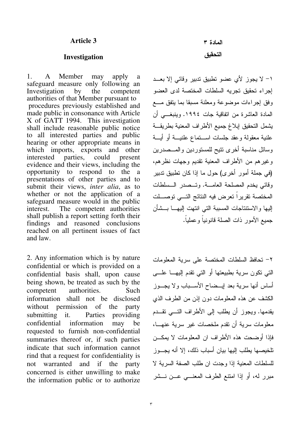### **Article 3**

### **Investigation**

1. A Member may apply a safeguard measure only following an Investigation by the competent authorities of that Member pursuant to procedures previously established and made public in consonance with Article X of GATT 1994. This investigation shall include reasonable public notice to all interested parties and public hearing or other appropriate means in which imports, exports and other interested parties, could present evidence and their views, including the opportunity to respond to the a presentations of other parties and to submit their views, *inter alia*, as to whether or not the application of a safeguard measure would in the public interest. The competent authorities shall publish a report setting forth their findings and reasoned conclusions reached on all pertinent issues of fact and law.

2. Any information which is by nature confidential or which is provided on a confidential basis shall, upon cause being shown, be treated as such by the competent authorities. Such information shall not be disclosed without permission of the party submitting it. Parties providing confidential information may be requested to furnish non-confidential summaries thereof or, if such parties indicate that such information cannot rind that a request for confidentiality is not warranted and if the party concerned is either unwilling to make the information public or to authorize

المادة ٣ التحقيق

1– لا يجوز لأي عضو تطبيق تدبير وقائبي إلا بعـــد إجراء تحقيق تجريه السلطات المختصة لدى العضو وفق إجراءات موضوعة ومعلنة مسبقا بما يتفق مـــع المادة العاشرة من انفاقية جات ١٩٩٤. وينبغـــي أن يشمل التحقيق إبلاغ جميع الأطراف المعنية بطريقـــة علنية معقولة وعقد جلسات اســـنماع علنيــــة أو أيــــة وسائل مناسبة أخرى نتيح للمستوردين والمـــصدرين وغير هم من الأطراف المعنية نقديم وجهات نظرهم، (في جملة أمور أخرى) حول ما إذا كان تطبيق تدبير وقائبي يخدم المصلحة العامـــة. وتـــصدر الـــسلطات المختصة نقريرا تعرض فيه النتائج التـــي توصــــلت إليها والاستتناجات المسببة التبي انتهت إليهـــا بـــشأن جميع الأمور ذات الصلة قانونيا وعمليا.

٢– تحافظ السلطات المختصة على سرية المعلومات التبي نكون سرية بطبيعتها أو التبي نقدم إليهـــا علــــي أساس أنها سرية بعد ليـــضـاح الأســــباب ولا يجــــوز الكشف عن هذه المعلومات دون إذن من الطرف الذي يقدمها. ويجوز أن يطلب إلى الأطراف النسي تقـــدم معلومات سرية أن نقدم ملخصات غير سرية عنهـــا، فإذا أوضحت هذه الأطراف ان المعلومات لا يمكـــن تلخيصها يطلب اليها بيان أسباب ذلك، إلا أنه يجـــوز للسلطات المعنية إذا وجدت ان طلب الصفة السرية لا مبرر له، أو إذا امتنع الطرف المعنــــى عـــن نـــشر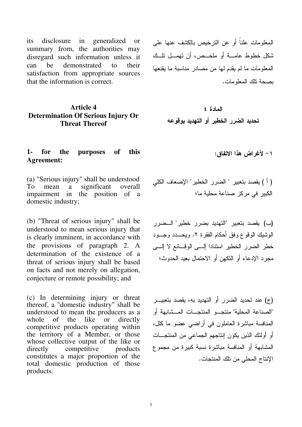its disclosure in generalized or summary from, the authorities may disregard such information unless it can be demonstrated to their satisfaction from appropriate sources that the information is correct.

## **Article 4 Determination Of Serious Injury Or Threat Thereof**

### : 
) \*+ , -. ( **1- for the purposes of this Agreement:**

(a) "Serious injury" shall be understood To mean a significant overall impairment in the position of a domestic industry;

(b) "Threat of serious injury" shall be understood to mean serious injury that is clearly imminent, in accordance with the provisions of paragraph 2. A determination of the existence of a threat of serious injury shall be based on facts and not merely on allegation, conjecture or remote possibility; and

(c) In determining injury or threat thereof, a "domestic industry" shall be understood to mean the producers as a<br>whole of the like or directly whole of the like or directly competitive products operating within the territory of a Member, or those whose collective output of the like or directly competitive products constitutes a major proportion of the total domestic production of those products.

المعلومات علنا أو عن الترخيص بالكشف عنها علمي شكل خطوط عامــــة أو ملخـــص، أن تهمـــل تلـــك المعلومات ما لم يقدم لـها من مصـادر مناسبة ما يقنعها يصحة تلك المعلومات.

 # \$ -% -& ' -

 ": 715 " 80 " 1 /% ) D ( - "
 )/ @: :

(ب) يقصد بتعبير "التهديد بضرر خطير" الـــضرر الْوَشْيَكَ الْوَقُوعِ وَفَقٍ أَحْكَامِ الْفَقَرِةِ ٢. وَيُحْسَدُ وَجِسُود خطر الضرر الخطير استنادا إلـــى الوقـــائـع لا إلــــى مجرد الإدعاء أو النكهن أو الاحتمال بعيد الحدوث؛

(ج) عند تحديد الضرر أو التهديد به، يقصد بتعبيـــر "الصناعة المحلية" منتجـــو المنتجــــات المـــشابـهة أو المنافسة مباشرة العاملون في أراضي عضو ما كلل، أو أولئك الذين يكون إنتاجهم الجماعي من المنتجـــات المشابهة أو المنافسة مباشرة نسبة كبيرة من مجموع الإنتاج المحلي من نلك المنتجات.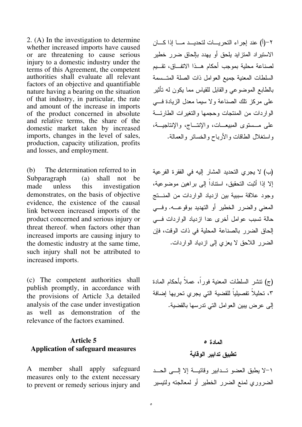2. (A) In the investigation to determine whether increased imports have caused or are threatening to cause serious injury to a domestic industry under the terms of this Agreement, the competent authorities shall evaluate all relevant factors of an objective and quantifiable nature having a bearing on the situation of that industry, in particular, the rate and amount of the increase in imports of the product concerned in absolute and relative terms, the share of the domestic market taken by increased imports, changes in the level of sales, production, capacity utilization, profits and losses, and employment.

(b) The determination referred to in Subparagraph (a) shall not be made unless this investigation demonstrates, on the basis of objective evidence, the existence of the causal link between increased imports of the product concerned and serious injury or threat thereof. when factors other than increased imports are causing injury to the domestic industry at the same time, such injury shall not be attributed to increased imports.

(c) The competent authorities shall publish promptly, in accordance with the provisions of Article 3,a detailed analysis of the case under investigation as well as demonstration of the relevance of the factors examined.

## **Article 5 Application of safeguard measures**

A member shall apply safeguard measures only to the extent necessary to prevent or remedy serious injury and ٢–(أ) عند إجراء التحريـــات لتحديـــد مــــا إذا كــــان الاستيراد المنزايد يلحق أو يهدد بإلحاق ضرر خطير لصناعة محلية بموجب أحكام هــذا الاتفــاق، تقـــيم السلطات المعنية جميع العوامل ذات الصلة المتـــسمة بالطابع الموضوعي والقابل للقياس مما يكون له نأثير على مركز نلك الصناعة ولا سيما معدل الزيادة فسي الواردات من المنتجات وحجمها والنغيرات الطارئــــة على مـــستوى المبيعـــات، والإنتـــاج، والإنتاجيـــة، واستغلال الطاقات والأرباح والخسائر والعمالة.

(ب) لا يجري التحديد المشار إليه في الفقر ة الفر عية إلا إذا أَثبت التحقيق، استنادا إلى براهين موضوعية، وجود علاقة سببية بين ازدياد الواردات من المنستج المعنى والضرر الخطير أو النهديد بوقوعـــه. وفـــي حالة نسبب عوامل أخرى عدا ازدياد الواردات فسى إلحاق الضرر بالصناعة المحلية في ذات الوقت، فإن الضرر اللاحق لا يعزي إلى ازدياد الواردات.

(ج) نتشر السلطات المعنية فورًا، عملاً بأحكام المادة ٢، تحليلا تفصيليا للقضية التي يجري تحريها إضافة إلى عرض يبين العوامل التي تدرسها بالقضية.

# المادة ه تطبيق تدابير الوقاية

١–لا يطبق العضو تــدابير وقائيـــة إلا إلـــي الحـــد الضروري لممنع الضرر الخطير أو لمعالجته ولتيسير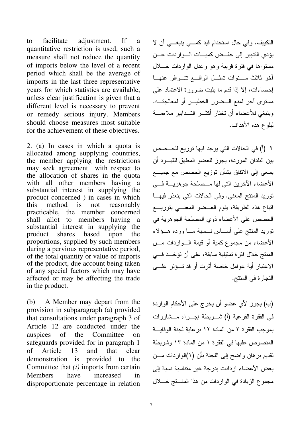facilitate adjustment.  $\mathbf{H}$ to a quantitative restriction is used, such a measure shall not reduce the quantity of imports below the level of a recent period which shall be the average of imports in the last three representative years for which statistics are available, unless clear justification is given that a different level is necessary to prevent or remedy serious injury. Members should choose measures most suitable for the achievement of these objectives.

2. (a) In cases in which a quota is allocated among supplying countries, the member applying the restrictions may seek agreement with respect to the allocation of shares in the quota with all other members having a substantial interest in supplying the product concerned ) in cases in which this method is  $not$ reasonably practicable, the member concerned shall allot to members having a substantial interest in supplying the based product shares upon the proportions, supplied by such members during a pervious representative period, of the total quantity or value of imports of the product, due account being taken of any special factors which may have affected or may be affecting the trade in the product.

 $(b)$ A Member may depart from the provision in subparagraph (a) provided that consultations under paragraph 3 of Article 12 are conducted under the auspices of the Committee  $\Omega$ safeguards provided for in paragraph 1 that  $\sigma$ f Article 13 and clear demonstration is provided to the Committee that  $(i)$  imports from certain **Members** have increased  $in$ disproportionate percentage in relation التكييف. وفي حال استخدام قيد كمسى ينبغسي أن لا يؤدي الندبير إلى خفــض كميـــات الـــوار دات عـــن مستواها في فترة قريبة وهو وعدل الواردات خـــلال أخر ثلاث سنوات تمثل الواقع نتوافر عنها إحصاءات، إلا إذا قدم ما يثبت ضرورة الاعتماد على مستوى أخر لمنع السضرر الخطيــر أو لمعالجتـــه. وينبغي للأعضاء أن تختار أكثــر التــدابير ملاءمـــة لبلوغ هذه الأهداف.

٢–(أ) في الحالات التي يوجد فيها توزيع للحـــصص بين البلدان الموردة، يجوز للعضو المطبق للقيــود أن يسعى إلى الاتفاق بشأن نوزيع الحصص مع جميـــع الأعضاء الآخرين التي لها مــصلحة جوهريـــة فـــي نوريد المنتج المعنى. وفي الحالات التي يتعذر فيهـا اتباع هذه الطريقة، يقوم العــضو المعنـــى بتوزيـــع الحصص على الأعضاء ذوى المصلحة الجوهربة في نوريد المنتج على أســـاس نـــسبة مـــا ورده هــؤلاء الأعضاء من مجموع كمبة أو قبمة السواردات مسن المنتج خلال فتر ة تمثيلية سابقة، على أن تؤخــذ فـــى الاعتبار أية عوامل خاصة أثرت أو قد تسؤثر علي التجارة في المنتج.

(ب) يجوز لأي عضو أن يخرج على الأحكام الواردة في الفقرة الفرعية (أ) شـــريطة إجـــراء مـــشاورات بموجب الفقرة ٣ من المادة ١٢ برعاية لجنة الوقايسة المنصوص عليها في الفقرة ١ من المادة ١٣ وشريطة نقديم برهان واضح إلى اللجنة بأن (١)الواردات مـــن بعض الأعضاء از دادت بدر جة غير متناسبة نسبة إلى مجموع الزيادة في الواردات من هذا المنستج خــــلال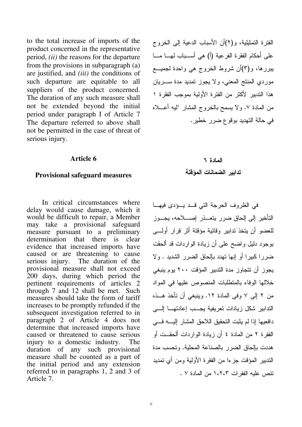to the total increase of imports of the product concerned in the representative period, *(ii)* the reasons for the departure from the provisions in subparagraph (a) are justified, and *(iii)* the conditions of such departure are equitable to all suppliers of the product concerned. The duration of any such measure shall not be extended beyond the initial period under paragraph I of Article 7 The departure referred to above shall not be permitted in the case of threat of serious injury.

### **Article 6**

### **Provisional safeguard measures**

In critical circumstances where delay would cause damage, which it would be difficult to repair, a Member may take a provisional safeguard measure pursuant to a preliminary determination that there is clear evidence that increased imports have caused or are threatening to cause serious injury. The duration of the provisional measure shall not exceed 200 days, during which period the pertinent requirements of articles 2 through 7 and 12 shall be met. Such measures should take the form of tariff increases to be promptly refunded if the subsequent investigation referred to in paragraph 2 of Article 4 does not determine that increased imports have caused or threatened to cause serious injury to a domestic industry. The duration of any such provisional measure shall be counted as a part of the initial period and any extension referred to in paragraphs 1, 2 and 3 of Article 7.

الْفَتَرَة الْتَمَثَّيْلِيَة، و(٢)أَنَّ الأَسْبَابِ الدعيةِ إلى الْخَرْوَج على أحكام الفقرة الفرعية (أ) هي أســـباب لهــــا مــــا يبررها، و(٣)أن شروط الخروج هي واحدة لجميـــع موردي المنتج المعنى، ولا يجوز تمديد مدة ســــريان هذا التدبير لأكثر من الفترة الأولية بموجب الفقرة ١ من المعادة ٧. ولا يسمح بالخروج المشار 'ليه أعـــلاه في حالة التهديد بوقوع ضرر خطير .

# المادة ٢ تدابير الضمانات المؤقتة

في الظروف الحرجة التي قــد بــؤدى فيهـــا التأخير إلى إلحاق ضرر يتعـــذر إصــــلاحه، يجـــوز للعضو أن يتخذ تدابير وقائية مؤقتة أثر قرار أولــــى بوجود دليل واضىح علىي أن زيادة الواردات قد ألحقت ضررا كبيرا أو إنها تهدد بإلحاق الضرر الشديد . ولا يجوز أن تتجاوز مدة التدبير المؤقت ٢٠٠ يوم ينبغي خلالها الوفاء بالمنطلبات المنصوص عليها فى المواد من ٢ إلى ٧ وفي المادة ١٢. وينبغي أن تأخذ هــذه التدابير شكل زيادات تعريفية يجـــب إعادتهــــا إلــــى دافعيها إذا لم يثبت التحقيق اللاحق المشار إليـــــه فــــى الفقرة ٢ من المادة ٤ أن زيادة الواردات ألحقــت أو هددت بإلحاق الضرر بالصناعة المحلية. وتحسب مدة الندبير المؤقت جزءا من الفقرة الأولية ومن أي نمديد تنص عليه الفقرات ١،٢،٣ من المادة ٧ .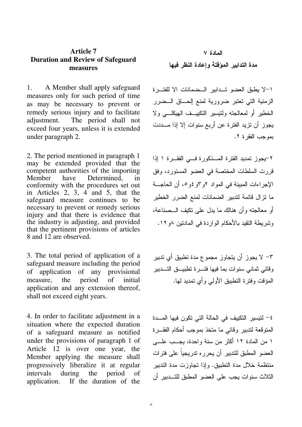## **Article 7 Duration and Review of Safeguard measures**

1. A Member shall apply safeguard measures only for such period of time as may be necessary to prevent or remedy serious injury and to facilitate adjustment. The period shall not exceed four years, unless it is extended under paragraph 2.

2. The period mentioned in paragraph 1 may be extended provided that the competent authorities of the importing Member have Determined, in conformity with the procedures set out in Articles 2, 3, 4 and 5, that the safeguard measure continues to be necessary to prevent or remedy serious injury and that there is evidence that the industry is adjusting, and provided that the pertinent provisions of articles 8 and 12 are observed.

3. The total period of application of a safeguard measure including the period of application of any provisional measure, the period of initial application and any extension thereof, shall not exceed eight years.

4. In order to facilitate adjustment in a situation where the expected duration of a safeguard measure as notified under the provisions of paragraph 1 of Article 12 is over one year, the Member applying the measure shall progressively liberalize it at regular intervals during the period of application. If the duration of the

# المادة ٧ مدة التدابير المؤقتة وإعادة النظر فيها

١–لا يطبق العضو تــدابير الــضمانات الا للفتـــرة الزمنية التي تعتبر ضرورية لمنع الحـــاق الـــضرر الخطير أو لمعالجته ولنتيسير النكييــف الـهيكلـــي ولا يجوز أن نزيد الفترة عن أربع سنوات إلا إذا مــــددت بموجب الفقر ة ٢.

٢-يجوز تمديد الفترة المـــذكورة فـــي الفقـــرة ١ إذا قررت السلطات المختصة في العضو المستورد، وفق الإجراءات المبينة في المواد ٢و٦و ٤و٥، أن الحاجـــة ما تزال قائمة لتدبير الضمانات لمنع الضرر الخطير أو معالجته وأن هنالك ما يدل على نكيف الـــصناعة، وشريطة النقيد بالأحكام الواردة في المادنين ٨و ١٢.

٣– لا يجوز أن يتجاوز مجموع مدة تطبيق أي تدبير وقائي ثماني سنوات بما فيها فتـــرة تطبيـــق التــــدبير المؤقت وفترة التطبيق الأولىي وأي تمديد لـها.

٤ – لتيسير التكييف في الحالة التي تكون فيها المــــدة المتوقعة لتدبير وقائبي ما متخذ بموجب أحكام الفقـــرة ١ من المادة ١٢ أكثر من سنة واحدة، يجـــب علـــي العضو المطبق للتدبير أن يحرره تدريجيا على فترات منتظمة خلال مدة النطبيق. وإذا تجاوزت مدة الندبير الثلاث سنوات يجب على العضو المطبق للتـــدبير أن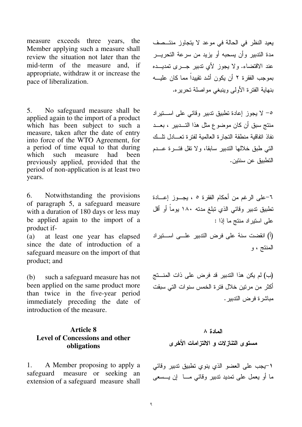measure exceeds three years, the Member applying such a measure shall review the situation not later than the mid-term of the measure and, if appropriate, withdraw it or increase the pace of liberalization.

5. No safeguard measure shall be applied again to the import of a product which has been subject to such a measure, taken after the date of entry into force of the WTO Agreement, for a period of time equal to that during<br>which such measure had been which such measure had been previously applied, provided that the period of non-application is at least two years.

6. Notwithstanding the provisions of paragraph 5, a safeguard measure with a duration of 180 days or less may be applied again to the import of a product if-

(a) at least one year has elapsed since the date of introduction of a safeguard measure on the import of that product; and

(b) such a safeguard measure has not been applied on the same product more than twice in the five-year period immediately preceding the date of introduction of the measure.

## **Article 8 Level of Concessions and other obligations**

1. A Member proposing to apply a safeguard measure or seeking an extension of a safeguard measure shall يعيد النظر في الحالة في موعد لا يتجاوز منتــصف مدة الندبير وأن يسحبه أو يزيد من سرعة النحريـــر عند الاقتضاء. ولا يجوز لأي تدبير جــــرى تمديــــده بموجب الفقرة ٢ أن يكون أشد تقييدا مما كان عليــــه بنهاية الفترة الأولىي وينبغي مواصلة تحريره.

ه- لا يجوز إعادة تطبيق ندبير وقائي على اســـنيراد منتج سبق أن كان موضوع مثل هذا التـــدبير ، بعـــد نفاذ اتفاقية منطقة النجارة العالمية لفترة تعـــادل تلـــك التبي طبق خلالها الندبير سابقا، ولا نقل فتسرة عسدم التطبيق عن سنتين.

٦–على الرغم من أحكام الفقرة ٥ ، يجــوز إعـــادة تطبيق تدبير وقائي الذي نبلغ مدنه ١٨٠ يوما أو أقل على استيراد منتج ما إذا : (أ) انقضت سنة على فرض التدبير علــــى اســـتيراد المنتج ، و

(ب) لم يكن هذا التدبير قد فرض على ذات المنـــتج أكثر من مرتين خلال فتر ة الخمس سنو ات التي سبقت مباشرة فرض التدبير .

# المادة ٨ مستوى التنازلات و الالتزامات الأخرى

1-يجب على العضو الذي ينوي تطبيق تدبير وقائي ما أو يعمل علىي تمديد ندبير وقائـي مــــا ً إن يــــسعـي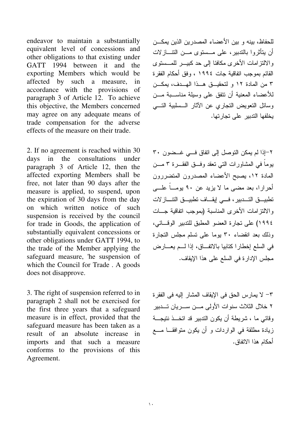endeavor to maintain a substantially equivalent level of concessions and other obligations to that existing under GATT 1994 between it and the exporting Members which would be affected by such a measure, in accordance with the provisions of paragraph 3 of Article 12. To achieve this objective, the Members concerned may agree on any adequate means of trade compensation for the adverse effects of the measure on their trade.

2. If no agreement is reached within 30 days in the consultations under paragraph 3 of Article 12, then the affected exporting Members shall be free, not later than 90 days after the measure is applied, to suspend, upon the expiration of 30 days from the day on which written notice of such suspension is received by the council for trade in Goods, the application of substantially equivalent concessions or other obligations under GATT 1994, to the trade of the Member applying the safeguard measure, 'he suspension of which the Council for Trade . A goods does not disapprove.

3. The right of suspension referred to in paragraph 2 shall not be exercised for the first three years that a safeguard measure is in effect, provided that the safeguard measure has been taken as a result of an absolute increase in imports and that such a measure conforms to the provisions of this Agreement.

للحفاظ، بينه و بين الأعضاء المصدرين الذين يمكـــن أن يتأثروا بالندبير، على مـــستوى مـــن النتــــازلات والالتزامات الأخرى مكافئا إلى حد كبيــــر للمــــستوى القائم بموجب اتفاقية جات ١٩٩٤ ، وفق أحكام الفقر ة ٣ من المادة ١٢ و لتحقيــق هــذا الهــدف، يمكــن للأعضاء المعنية أن نتفق على وسيلة مناســـبة مـــن وسائل النعويض النجاري عن الأثار الـــسلبية النــــى يخلفها الندبير على نجارتها.

٢-إذا لم يمكن التوصل إلى اتفاق فـــي غـــضون ٣٠ يوما في المشاورات التي نعقد وفـــق الفقــــرة ٣ مــــن المادة ١٢، يصبح الأعضاء المصدرون المتضررون أحرارا، بعد مضىي ما لا يزيد عن ٩٠ يومــا علـــي تطبيـــــق التــــــدبير ، فـــــى لِيقـــــاف تطبيـــــق التتـــــاز لات والالتزامات الأخرى المناسبة (بموجب انفاقية جـــات ١٩٩٤) على نجارة العضو المطبق للتدبير الوقـــائي، وذلك بعد انقضاء ٣٠ يوما على نسلم مجلس النجارة في السلع إخطارا كنابيا بالاتفـــاق، إذا لـــم يعــــارض مجلس الإدارة في السلع على هذا الإيقاف.

٣– لا يمارس الحق في الإيقاف المشار إليه في الفقر ة ٢ خلال الثلاث سنوات الأولى مـــن ســــريان تــــدبير وقائي ما ، شريطة أن يكون الندبير قد اتخـــذ نتيجـــة زيادة مطلقة في الواردات و أن يكون متوافقــا مـــع أحكام هذا الاتفاق.

 $\mathbf{A}$  and  $\mathbf{A}$  are the set of the set of the set of the set of the set of the set of the set of the set of the set of the set of the set of the set of the set of the set of the set of the set of the set of the set

 $\sqrt{2}$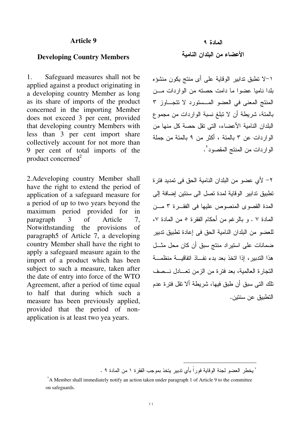### **Article 9**

### **Developing Country Members**

1. Safeguard measures shall not be applied against a product originating in a developing country Member as long as its share of imports of the product concerned in the importing Member does not exceed 3 per cent, provided that developing country Members with less than 3 per cent import share collectively account for not more than 9 per cent of total imports of the product concerned $2$ 

2.Adeveloping country Member shall have the right to extend the period of application of a safeguard measure for a period of up to two years beyond the maximum period provided for in paragraph 3 of Article 7, Notwithstanding the provisions of paragraph5 of Article 7, a developing country Member shall have the right to apply a safeguard measure again to the import of a product which has been subject to such a measure, taken after the date of entry into force of the WTO Agreement, after a period of time equal to half that during which such a measure has been previously applied, provided that the period of nonapplication is at least two yea years.

# المادة ٩ الأعضاء من البلدان النامية

1–لا تطبق تدابير الوقاية على أي منتج يكون منشؤه بلدا ناميا عضوا ما دامت حصنه من الواردات مـــن المنتج المعنى في العضو المسستورد لا تتجاوز ٣ بالمئة، شريطة أن لا تبلغ نسبة الواردات من مجموع البلدان النامية الأعضاء، التي نقل حصة كل منها من الواردات عن ٣ بالمئة ، أكثر من ٩ بالمئة من جملة الواردات من المنتج المقصود<sup>٬</sup>.

٢– لأي عضو من البلدان النامية الحق في تمديد فتر ة تطبيق تدابير الوقاية لمدة تصل الى سنتين إضافة إلى المدة القصوى المنصوص عليها في الفقـــرة ٣ مـــن المادة ٧ . و بالر غم من أحكام الفقر ة ٥ من المادة ٧، للعضو من البلدان النامية الحق في إعادة تطبيق تدبير ضمانات علی استیراد منتج سبق أن کان محل مثـــل هذا التدبير ، إذا اتخذ بعد بدء نفـــاذ اتفاقيــــة منظمــــة النجارة العالمية، بعد فترة من الزمن نعـــادل نـــصف تلك التي سبق أن طبق فيها، شريطة ألا تقل فترة عدم التطبيق عن سنتين.

-

<sup>`</sup> يخطر العضو لجنة الوقاية فوراً بأي ندبير يتخذ بموجب الفقرة ١ من المادة ٩ .

A Member shall immediately notify an action taken under paragraph 1 of Article 9 to the committee on safeguards.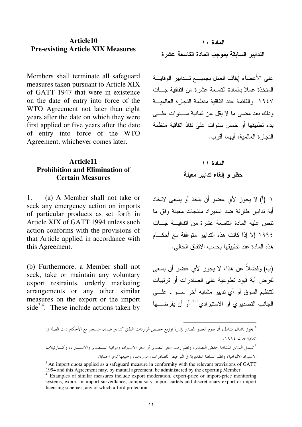### Article10 **Pre-existing Article XIX Measures**

Members shall terminate all safeguard measures taken pursuant to Article XIX of GATT 1947 that were in existence on the date of entry into force of the WTO Agreement not later than eight years after the date on which they were first applied or five years after the date of entry into force of the WTO Agreement, whichever comes later.

## Article11 **Prohibition and Elimination of Certain Measures**

 $1<sub>1</sub>$ (a) A Member shall not take or seek any emergency action on imports of particular products as set forth in Article XIX of GATT 1994 unless such action conforms with the provisions of that Article applied in accordance with this Agreement.

(b) Furthermore, a Member shall not seek, take or maintain any voluntary export restraints, orderly marketing arrangements or any other similar measures on the export or the import side<sup>3,4</sup>. These include actions taken by

## المادة ١٠ التدابير السابقة بموجب المادة التاسعة عشرة

على الأعضاء ليقاف العمل بجميـــع تـــدابير الوفايــــة المتخذة عملا بالمادة التاسعة عشرة من اتفاقية جسات ١٩٤٧ والقائمة عند اتفاقية منظمة التجارة العالميسة وذلك بعد مضبي ما لا يقل عن ثمانية ســــنوات علــــي بدء تطبيقها أو خمس سنوات على نفاذ اتفاقية منظمة التجار ة العالمبة، أبهما أقرب.

# المادة ١١ حظر والغاء تدابير معينة

١-(أ) لا يجوز الأى عضو أن يتخذ أو يسعى لاتخاذ أية تدابير طارئة ضد استير اد منتجات معينة وفق ما نتص عليه المادة التاسعة عشرة من اتفاقيسة جسات ١٩٩٤ إلا إذا كانت هذه التدابير متوافقة مع أحكـــام هذه المادة عند تطبيقها بحسب الاتفاق الحالي.

(ب) وفضلاً عن هذا، لا يجوز لأي عضو أن يسعى لفر ض أية قيود تطوعية على الصادر ات أو ترتيبات لتتظيم السوق أو أي تدبير مشابه آخر سـواء علـــى الجانب التصديري أو الاستيرادي<sup>3,0</sup> أو أن يفرضـــها

<sup>.&</sup>lt;br>" يجوز باتفاق متبادل، أن يقوم العضو المصدر بإدارة توزيع حصص الواردات المطبق كتدبير ضمان منسجم مع الأحكام ذات الصلة في اتفاقية جات ١٩٩٤.

<sup>&</sup>lt;sup>؛</sup> تشمل التدابير المشاهة خفض التصدير ، ونظم رصد سعر التصدير أو سعر الاستيراد، ومراقبة التـــصدير والاســـتيراد، وكــــارتيلات الاستيراد الالتزامية، ونظم السلطة التقديرية في الترخيص للصادرات والواردات، وجميعها توفر الحماية.

 $3$  An import quota applied as a safeguard measure in conformity with the relevant provisions of GATT 1994 and this Agreement may, by mutual agreement, be administered by the exporting Member.

<sup>&</sup>lt;sup>4</sup> Examples of similar measures include export moderation, export-price or import-price monitoring systems, export or import surveillance, compulsory import cartels and discretionary export or import licensing schemes, any of which afford protection.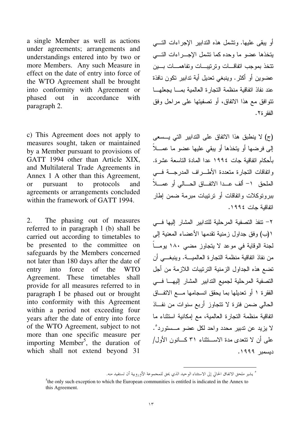a single Member as well as actions under agreements; arrangements and understandings entered into by two or more Members. Any such Measure in effect on the date of entry into force of the WTO Agreement shall be brought into conformity with Agreement or phased out in accordance with paragraph 2.

c) This Agreement does not apply to measures sought, taken or maintained by a Member pursuant to provisions of GATT 1994 other than Article XIX, and Multilateral Trade Agreements in Annex 1 A other than this Agreement, or pursuant to protocols and agreements or arrangements concluded within the framework of GATT 1994.

2. The phasing out of measures referred to in paragraph l (b) shall be carried out according to timetables to be presented to the committee on safeguards by the Members concerned not later than 180 days after the date of entry into force of the WTO Agreement. These timetables shall provide for all measures referred to in paragraph I be phased out or brought into conformity with this Agreement within a period not exceeding four years after the date of entry into force of the WTO Agreement, subject to not more than one specific measure per importing Member<sup>5</sup>, the duration of which shall not extend beyond 31

أو يبقى عليها. وتشمل هذه الندابير الإجراءات النسـي يتخذها عضو ما وحده كما تشمل الإجــــراءات التـــــى نتخذ بموجب اتفاقـــات وترتيبـــات ونفاهمـــات بــــين عضوين أو أكثر . وينبغي تعديل أية تدابير نكون نافذة عند نفاذ اتفاقية منظمة النجارة العالمية بمــــا يجعلهــــا نتوافق مع هذا الاتفاق، أو تصفيتها على مراحل وفق الفقر ة٢.

(ج) لا ينطبق هذا الاتفاق على الندابير التي يـــسعى إلى فرضها أو يتخذها أو يبقى عليها عضو ما عمـــلا بأحكام اتفاقية جات ١٩٩٤ عدا المادة التاسعة عشرة. واتفاقات النجارة متعددة الأطـــراف المدرجـــة فــــي الملحق 1- ألف عــدا الاتفــاق الحـــالى أو عمـــلاً ببروتوكلات وانفاقات أو ترتيبات مبرمة ضمن إطار اتفاقية جات ١٩٩٤.

٢– نتفذ النصفية المرحلية للندابير المشار إليها فـــى ١(ب) وفق جداول زمنية نقدمها الأعضاء المعنية إلى لجنة الوقاية في موعد لا يتجاوز مضى ١٨٠ يومــا من نفاذ انفاقية منظمة النجارة العالميـــة. وينبغــــي أن تضع هذه الجداول الزمنية الترنيبات اللازمة من أجل التصفية المرحلية لجميع التدابير المشار إليهــــا فــــى الفقرة ١ أو تعديلها بما يحقق انسجامها مــــع الاتفـــاق الحالي ضمن فترة لا تتجاوز أربع سنوات من نفاذ اتفاقية منظمة النجارة العالمية، مع إمكانية استثناء ما لا يزيد عن ندبير محدد واحد لكل عضو مــستورد ْ. علمي أن لا نتحدى مدة الاســـنثنـاء ٣١ كــــانون الأول/ دیسمبر ۱۹۹۹.

<sup>-</sup>° يشير ملحق الاتفاق الحالي إلى الاستثناء الوحيد الذي يحق للمجموعة الأوروبية أن تستفيد منه.

 $5$ the only such exception to which the European communities is entitled is indicated in the Annex to this Agreement.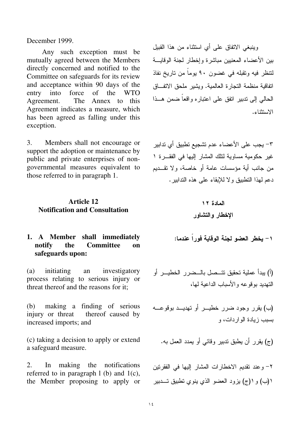December 1999.

Any such exception must be mutually agreed between the Members directly concerned and notified to the Committee on safeguards for its review and acceptance within 90 days of the entry into force of the WTO Agreement. The Annex to this Agreement indicates a measure, which has been agreed as falling under this exception.

3. Members shall not encourage or support the adoption or maintenance by public and private enterprises of nongovernmental measures equivalent to those referred to in paragraph 1.

## **Article 12 Notification and Consultation**

## 1. A Member shall immediately<br>notify the Committee on **Committee safeguards upon:**

(a) initiating an investigatory process relating to serious injury or threat thereof and the reasons for it;

(b) making a finding of serious injury or threat thereof caused by increased imports; and

(ج) يقرر أن يطبق ندبير وقائي أو يمدد العمل به. c) taking a decision to apply or extend a safeguard measure.

2. In making the notifications referred to in paragraph  $l$  (b) and  $l(c)$ , the Member proposing to apply or وينبغي الاتفاق علىي أي استثناء من هذا القبيل بين الأعضاء المعنيين مباشرة وإخطار لجنة الوقايسة لتنظر فيه ونقبله في غضون ٩٠ يوما من ناريخ نفاذ اتفاقية منظمة النجارة العالمية. ويشير ملحق الاتفـــاق الحالبي إلى ندبير انفق على اعتباره واقعا ضمن هــذا الاستثناء.

٣– يجب على الأعضاء عدم تشجيع تطبيق أي تدابير غير حكومية مساوية لنلك المشار إليها في الفقـــرة ١ من جانب أية مؤسسات عامة أو خاصة، ولا تقـــديم دعم لـهذا النطبيق ولا للإبقاء علـي هذه الندابير .

المادة ۱۲  
ال
$$
\sharp
$$
فال و التشاور

يخطر العضو لجنة الوقاية فورا عندما:

 &D  80  / > %
 " D )D ( A C& ;&& 

 ;&&  &D  80 && % (C) & A& ' @ C

٢- وعند نقديم الاخطارات المشار إليها في الفقرنين ١(ب) و ١(ج) يزود العضو الذي ينوي تطبيق تـــدبير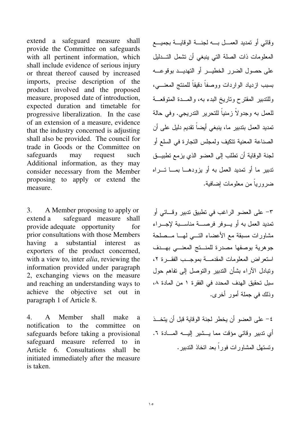extend a safeguard measure shall provide the Committee on safeguards with all pertinent information, which shall include evidence of serious injury or threat thereof caused by increased imports, precise description of the product involved and the proposed measure, proposed date of introduction, expected duration and timetable for progressive liberalization. In the case of an extension of a measure, evidence that the industry concerned is adjusting shall also be provided. The council for trade in Goods or the Committee on safeguards may request such Additional information, as they may consider necessary from the Member proposing to apply or extend the measure.

3. A Member proposing to apply or extend a safeguard measure shall provide adequate opportunity for prior consultations with those Members having a substantial interest as exporters of the product concerned, with a view to, inter *alia*, reviewing the information provided under paragraph 2, exchanging views on the measure and reaching an understanding ways to achieve the objective set out in paragraph 1 of Article 8.

4. A Member shall make a notification to the committee on safeguards before taking a provisional safeguard measure referred to in Article 6. Consultations shall be initiated immediately after the measure is taken.

وقائبي أو نمديد العمــــل بــــــــه لجنــــــــة الوقايـــــة بجميــــع المعلومات ذات الصلة التي ينبغي أن تشمل التـــدليل على حصول الضرر الخطيـــر أو التهديـــد بوقوعــــه بسبب ازدياد الواردات ووصفا دقيقا للمنتج المعنــــي، وللتدبير المقترح وناريخ البدء به، والمـــدة المتوقعـــة للعمل به وجدولا زمنيا للتحرير الندريجي. وفي حالة تمديد العمل بتدبير ما، ينبغي أيضا تقديم دليل على أن الصناعة المعنية نتكيف ولمجلس النجارة في السلع أو لجنة الوقاية أن تطلب إلى العضو الذي يزمع تطبيـــق تدبير ما أو تمديد العمل به أو يزودهـــا بمـــا تــــراه ضروريا من معلومات إضافية.

٣– على العضو الراغب في نطبيق ندبير وقـــائـي أو نمديد العمل به أو يـــوفر فرصــــة مناســـبة لإجـــراء مشاورات مسبقة مع الأعضاء التـــي لمهــــا مـــصلحة جوهرية بوصفها مصدرة للمنـــنج المعنـــي بهـــدف استعراض المعلومات المقدمة بموجب الفقرة ٢، وتبادل الأراء بشأن الندبير والنوصل إلى نفاهم حول سبل تحقيق الهدف المحدد في الفقرة ١ من المادة ٨، وذلك في جملة أمور أخرى.

٤– على العضو أن يخطر لجنة الوقاية قبل أن يتخـــذ أي ندبير وقائـي مؤقت مما يـــشير إليـــــه المــــادة ٦. ونستهل المشاورات فورا بعد انخاذ الندبير.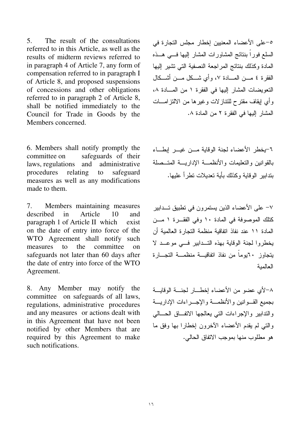$5<sub>1</sub>$ The result of the consultations referred to in this Article, as well as the results of midterm reviews referred to in paragraph 4 of Article 7, any form of compensation referred to in paragraph I of Article 8, and proposed suspensions of concessions and other obligations referred to in paragraph 2 of Article 8, shall be notified immediately to the Council for Trade in Goods by the Members concerned.

6. Members shall notify promptly the safeguards of their committee on laws, regulations and administrative procedures relating safeguard  $\overline{a}$ measures as well as any modifications made to them.

7. Members maintaining measures described  $in$ Article 10 and paragraph 1 of Article II which exist on the date of entry into force of the WTO Agreement shall notify such measures  $\mathfrak{t}$ the committee  $\Omega$ safeguards not later than 60 days after the date of entry into force of the WTO Agreement.

8. Any Member may notify the committee on safeguards of all laws, regulations, administrative procedures and any measures or actions dealt with in this Agreement that have not been notified by other Members that are required by this Agreement to make such notifications.

٥-على الأعضاء المعنيين إخطار مجلس التجارة في السلع فوراً بنتائج المشاورات المشار إليها فسي هــذه المادة وكذلك بنتائج المراجعة النصفية التي تشير إليها الفقرة ٤ مـــن المــــادة ٧، وأي شـــكل مـــن أشـــكال التعويضات المشار إليها في الفقرة ١ من المسادة ٨، وأي إيقاف مقترح للنتاز لات وغيرها من الالتزامـــات المشار اليها في الفقر ة ٢ من المادة ٨.

٦-يخطر الأعضاء لجنة الوقاية مــن غيــر إبطــاء بالقوانين والتعليمات والأنظمــة الإداريـــة المتــصلة بتدابير الوقابة وكذلك بأبة تعدبلات تطر أ علبها.

٧– على الأعضاء الذين بستمر ون في تطبيق تــدابير كتلك الموصوفة في المادة ١٠ وفي الفقـر ة ١ مــز. المادة ١١ عند نفاذ اتفاقية منظمة التجارة العالمية أن يخطروا لجنة الوقاية بهذه التـدابير في موعـد لا بتجاوز ٢٠بوماً من نفاذ اتفاقيسة منظمسة التجسارة العالمبة

٨-لأي عضو من الأعضاء إخطــار لجنـــة الوقايـــة بجميع القسوانين والأنظمسة والإجسراءات الإداريسة والندابير والإجراءات التى يعالجها الاتفاق الحسالي والتي لم يقدم الأعضاء الأخرون إخطارا بها وفق ما هو مطلوب منها بموجب الاتفاق الحالي.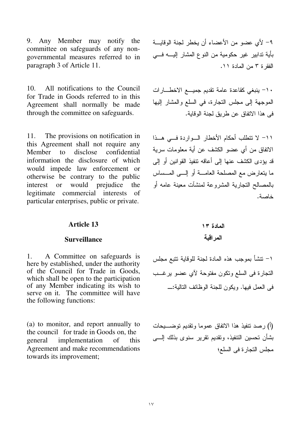9. Any Member may notify the committee on safeguards of any nongovernmental measures referred to in paragraph 3 of Article 11.

All notifications to the Council  $10<sup>1</sup>$ for Trade in Goods referred to in this Agreement shall normally be made through the committee on safeguards.

11. The provisions on notification in this Agreement shall not require any Member to disclose confidential information the disclosure of which would impede law enforcement or otherwise be contrary to the public interest or would prejudice the legitimate commercial interests of particular enterprises, public or private.

# ٩- لأى عضو من الأعضاء أن يخطر لجنة الوقايـــة بأية تدابير غير حكومية من النوع المشار إليــــه فــــى الفقرة ٣ من المادة ١١.

١٠- ينبغي كقاعدة عامة نقديم جميع الاخطارات الموجهة إلى مجلس التجارة، في السلع والمشار إليها في هذا الاتفاق عن طريق لجنة الوقاية.

1١- لا تتطلب أحكام الأخطار السواردة فسى هـذا الاتفاق من أي عضو الكشف عن أية معلومات سرية قد يؤدي الكشف عنها إلى أعاقه نتفيذ القوانين أو إلى ما يتعارض مع المصلحة العامــــة أو ٳلــــى المــــساس بالمصالح النجارية المشروعة لمنشآت معينة عامه أو خاصة.

## **Article 13**

### **Surveillance**

 $1<sub>1</sub>$ A Committee on safeguards is here by established, under the authority of the Council for Trade in Goods, which shall be open to the participation of any Member indicating its wish to serve on it. The committee will have the following functions:

(a) to monitor, and report annually to the council for trade in Goods on, the implementation general  $\alpha$ f this. Agreement and make recommendations towards its improvement;

١– نتشأ بموجب هذه المادة لجنة للوقاية نتبع مجلس النجارة في السلع ونكون مفتوحة لأي عضو يرغــب في العمل فيها. وبكون للجنة الوظائف التالية:\_

(أ) رصد نتفيذ هذا الاتفاق عموما ونقديم نوضـــــــيحات بشأن تحسين النتفيذ، وتقديم نقرير سنوى بذلك إلــــى مجلس التجارة في السلع؛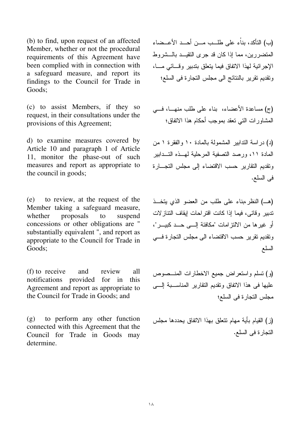(b) to find, upon request of an affected Member, whether or not the procedural requirements of this Agreement have been complied with in connection with a safeguard measure, and report its findings to the Council for Trade in Goods;

(c) to assist Members, if they so request, in their consultations under the provisions of this Agreement;

d) to examine measures covered by Article 10 and paragraph 1 of Article 11, monitor the phase-out of such measures and report as appropriate to the council in goods;

(e) to review, at the request of the Member taking a safeguard measure, whether proposals to suspend concessions or other obligations are " substantially equivalent ", and report as appropriate to the Council for Trade in Goods;

(f) to receive and review all notifications provided for in this Agreement and report as appropriate to the Council for Trade in Goods; and

(g) to perform any other function connected with this Agreement that the Council for Trade in Goods may determine.

(ب) التأكد، بناء على طلــب مـــن أحـــد الأعــضاء المتضررين، مما إذا كان قد جرى النقيـــد بالـــشروط الإجرائية لمهذا الاتفاق فيما يتعلق بتدبير وقسائي مسا، ونقديم نقرير بالنتائج الى مجلس النجارة في السلع؛

(ج) مساعدة الأعضاء، بناء على طلب منهــا، فـــي المشاور ات التي تعقد بموجب أحكام هذا الاتفاق؛

(د) در اسة الندابير المشمولة بالمادة ١٠ والفقرة ١ من المادة ١١، ورصد التصفية المرحلية لمهــذه التـــدابير ونقديم النقارير حسب الاقتضاء إلى مجلس النجـــارة في السلع.

(هــ) النظر ،بناء على طلب من العضو الذي يتخـــذ تدبير وقائبي، فيما إذا كانت اقتراحات إيقاف النتازلات أو غيرها من الالتزامات "مكافئة إلـــى حـــد كبيـــر"، ونقديم نقرير حسب الاقتضاء الى مجلس النجارة فـــي السلع

(و) تسلَّم واستعرَّاضٌ جميع الاخطارات المُفْسَّصُوص عليها فـي هذا الاتفاق وتقديم النقارير المناســـبة الــــي مجلس التجار ة في السلع؛

(ز ) القيام بأية مهام تتعلق بهذا الاتفاق يحددها مجلس التجارة في السلع.